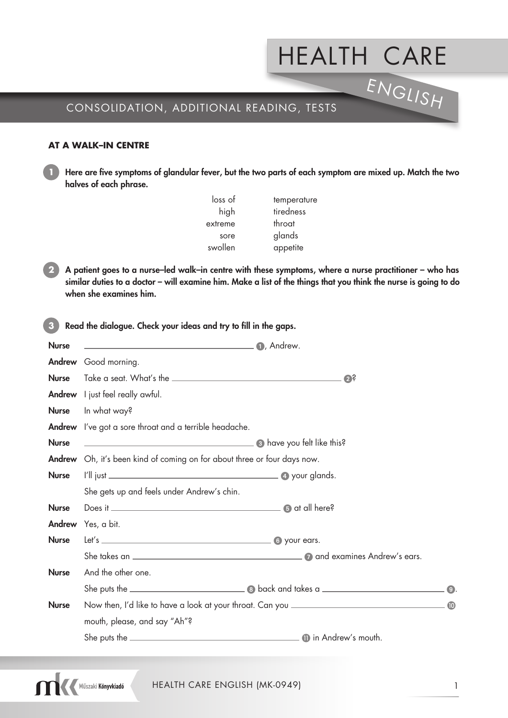# HEALTH CARE ENGLISH

## CONSOLIDATION, ADDITIONAL READING, TESTS

#### **AT A WALK–IN CENTRE**

**1** Here are five symptoms of glandular fever, but the two parts of each symptom are mixed up. Match the two halves of each phrase.

| loss of | temperature |
|---------|-------------|
| high    | tiredness   |
| extreme | throat      |
| sore    | glands      |
| swollen | appetite    |
|         |             |

**2** A patient goes to a nurse–led walk–in centre with these symptoms, where a nurse practitioner – who has similar duties to a doctor – will examine him. Make a list of the things that you think the nurse is going to do when she examines him.

**3** Read the dialogue. Check your ideas and try to fill in the gaps.

| <b>Nurse</b> |                                                                                   |           |
|--------------|-----------------------------------------------------------------------------------|-----------|
|              | Andrew Good morning.                                                              |           |
| <b>Nurse</b> | $\mathbf{C}$                                                                      |           |
|              | <b>Andrew</b> I just feel really awful.                                           |           |
| <b>Nurse</b> | In what way?                                                                      |           |
|              | <b>Andrew</b> I've got a sore throat and a terrible headache.                     |           |
| <b>Nurse</b> | a have you felt like this?                                                        |           |
|              | <b>Andrew</b> Oh, it's been kind of coming on for about three or four days now.   |           |
| <b>Nurse</b> |                                                                                   |           |
|              | She gets up and feels under Andrew's chin.                                        |           |
| <b>Nurse</b> |                                                                                   |           |
|              | <b>Andrew</b> Yes, a bit.                                                         |           |
| <b>Nurse</b> |                                                                                   |           |
|              |                                                                                   |           |
| <b>Nurse</b> | And the other one.                                                                |           |
|              |                                                                                   |           |
| <b>Nurse</b> | Now then, I'd like to have a look at your throat. Can you _______________________ | $\bullet$ |
|              | mouth, please, and say "Ah"?                                                      |           |
|              |                                                                                   |           |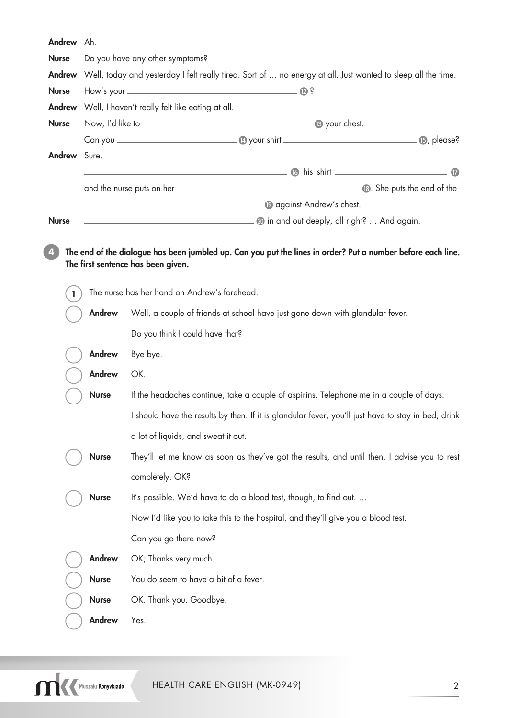| Andrew Ah.          |                                                                                                              |                                                                                                                                                                                                                                      |  |
|---------------------|--------------------------------------------------------------------------------------------------------------|--------------------------------------------------------------------------------------------------------------------------------------------------------------------------------------------------------------------------------------|--|
| <b>Nurse</b>        | Do you have any other symptoms?                                                                              |                                                                                                                                                                                                                                      |  |
| Andrew              | Well, today and yesterday I felt really tired. Sort of  no energy at all. Just wanted to sleep all the time. |                                                                                                                                                                                                                                      |  |
| <b>Nurse</b>        |                                                                                                              |                                                                                                                                                                                                                                      |  |
| Andrew              |                                                                                                              | Well, I haven't really felt like eating at all.                                                                                                                                                                                      |  |
| <b>Nurse</b>        |                                                                                                              |                                                                                                                                                                                                                                      |  |
|                     |                                                                                                              |                                                                                                                                                                                                                                      |  |
| <b>Andrew</b> Sure. |                                                                                                              |                                                                                                                                                                                                                                      |  |
|                     |                                                                                                              |                                                                                                                                                                                                                                      |  |
|                     |                                                                                                              |                                                                                                                                                                                                                                      |  |
|                     |                                                                                                              | <b>Designed by a series of the contract of the contract of the contract of the contract of the contract of the contract of the contract of the contract of the contract of the contract of the contract of the contract of the c</b> |  |
| <b>Nurse</b>        |                                                                                                              | <b>Example 10</b> in and out deeply, all right?  And again.                                                                                                                                                                          |  |
| 4                   |                                                                                                              | The end of the dialogue has been jumbled up. Can you put the lines in order? Put a number before each line.<br>The first sentence has been given.                                                                                    |  |
| $\mathbf{I}$        |                                                                                                              | The nurse has her hand on Andrew's forehead.                                                                                                                                                                                         |  |
|                     | Andrew                                                                                                       | Well, a couple of friends at school have just gone down with glandular fever.                                                                                                                                                        |  |
|                     |                                                                                                              | Do you think I could have that?                                                                                                                                                                                                      |  |
|                     | Andrew                                                                                                       | Bye bye.                                                                                                                                                                                                                             |  |
|                     | Andrew<br>OK.                                                                                                |                                                                                                                                                                                                                                      |  |
|                     | <b>Nurse</b><br>If the headaches continue, take a couple of aspirins. Telephone me in a couple of days.      |                                                                                                                                                                                                                                      |  |
|                     | I should have the results by then. If it is glandular fever, you'll just have to stay in bed, drink          |                                                                                                                                                                                                                                      |  |
|                     |                                                                                                              | a lot of liquids, and sweat it out.                                                                                                                                                                                                  |  |
|                     | <b>Nurse</b>                                                                                                 | They'll let me know as soon as they've got the results, and until then, I advise you to rest                                                                                                                                         |  |
|                     |                                                                                                              | completely. OK?                                                                                                                                                                                                                      |  |
|                     | It's possible. We'd have to do a blood test, though, to find out.<br><b>Nurse</b>                            |                                                                                                                                                                                                                                      |  |
|                     |                                                                                                              | Now I'd like you to take this to the hospital, and they'll give you a blood test.                                                                                                                                                    |  |
|                     |                                                                                                              | Can you go there now?                                                                                                                                                                                                                |  |
|                     | Andrew<br>OK; Thanks very much.                                                                              |                                                                                                                                                                                                                                      |  |
|                     | <b>Nurse</b><br>You do seem to have a bit of a fever.                                                        |                                                                                                                                                                                                                                      |  |
|                     | OK. Thank you. Goodbye.<br><b>Nurse</b>                                                                      |                                                                                                                                                                                                                                      |  |
|                     | Andrew<br>Yes.                                                                                               |                                                                                                                                                                                                                                      |  |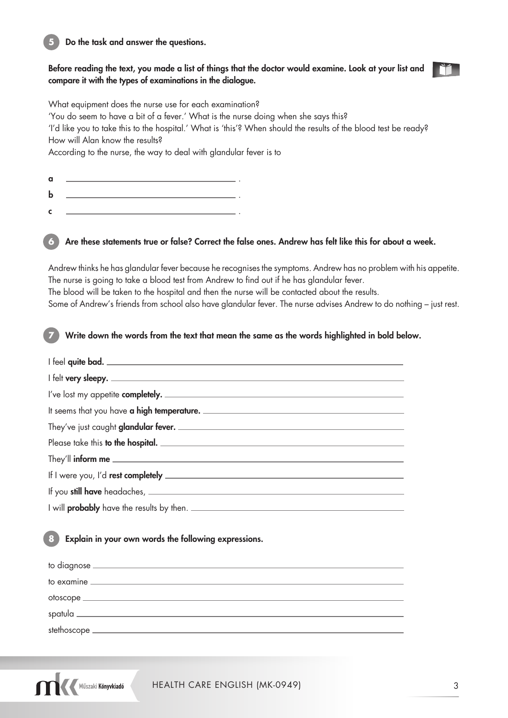#### **5** Do the task and answer the questions.

#### Before reading the text, you made a list of things that the doctor would examine. Look at your list and compare it with the types of examinations in the dialogue.

What equipment does the nurse use for each examination?

'You do seem to have a bit of a fever.' What is the nurse doing when she says this?

'I'd like you to take this to the hospital.' What is 'this'? When should the results of the blood test be ready? How will Alan know the results?

According to the nurse, the way to deal with glandular fever is to

| a           |  |
|-------------|--|
| $\mathbf b$ |  |
| -c          |  |

#### Are these statements true or false? Correct the false ones. Andrew has felt like this for about a week.

Andrew thinks he has glandular fever because he recognises the symptoms. Andrew has no problem with his appetite. The nurse is going to take a blood test from Andrew to find out if he has glandular fever. The blood will be taken to the hospital and then the nurse will be contacted about the results. Some of Andrew's friends from school also have glandular fever. The nurse advises Andrew to do nothing – just rest.

#### **7** Write down the words from the text that mean the same as the words highlighted in bold below.

#### **8** Explain in your own words the following expressions.

Műszaki Könyvkiadó

| stethoscope _ |  |
|---------------|--|
|               |  |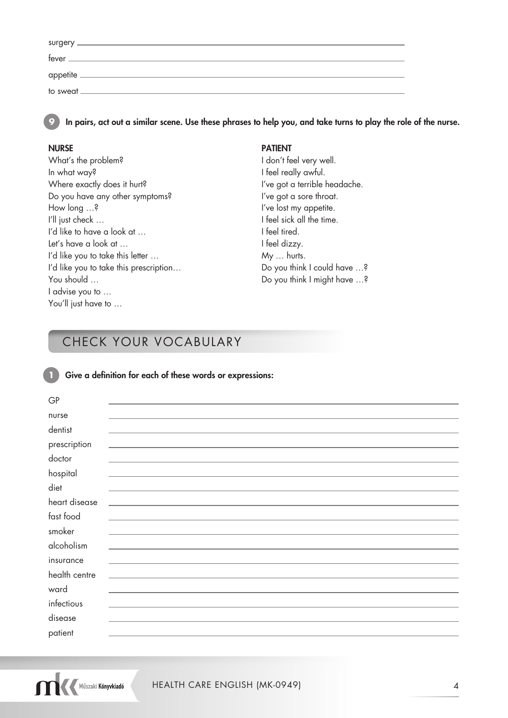| surgery<br>the control of the control of the control of the control of the control of the control of the control of the control of the control of the control of the control of the control of the control of the control of the control |  |
|------------------------------------------------------------------------------------------------------------------------------------------------------------------------------------------------------------------------------------------|--|
| fever                                                                                                                                                                                                                                    |  |
|                                                                                                                                                                                                                                          |  |
| appetite.                                                                                                                                                                                                                                |  |
| to sweat.                                                                                                                                                                                                                                |  |

In pairs, act out a similar scene. Use these phrases to help you, and take turns to play the role of the nurse.

What's the problem? I don't feel very well. In what way? I feel really awful. Where exactly does it hurt? I've got a terrible headache. Do you have any other symptoms? I've got a sore throat. How long ...? If you have lost my appetite. I'll just check ... The sick all the time. I'd like to have a look at ... Ifeel tired. Let's have a look at … I'd like you to take this letter ... My ... hurts. I'd like you to take this prescription... Do you think I could have ...? You should … Do you think I might have …? I advise you to … You'll just have to ...

#### NURSE PATIENT

## CHECK YOUR VOCABULARY

#### **1** Give a definition for each of these words or expressions:

| GP            |                                                                                           |
|---------------|-------------------------------------------------------------------------------------------|
| nurse         |                                                                                           |
| dentist       |                                                                                           |
| prescription  |                                                                                           |
| doctor        |                                                                                           |
| hospital      |                                                                                           |
| diet          |                                                                                           |
| heart disease | <u> 1989 - Andrea Stein, Amerikaansk politiker (</u>                                      |
| fast food     |                                                                                           |
| smoker        |                                                                                           |
| alcoholism    |                                                                                           |
| insurance     | the control of the control of the control of the control of the control of the control of |
| health centre | <u> 1980 - Jan Stein Stein, Amerikaansk politiker (</u>                                   |
| ward          |                                                                                           |
| infectious    |                                                                                           |
| disease       |                                                                                           |
| patient       |                                                                                           |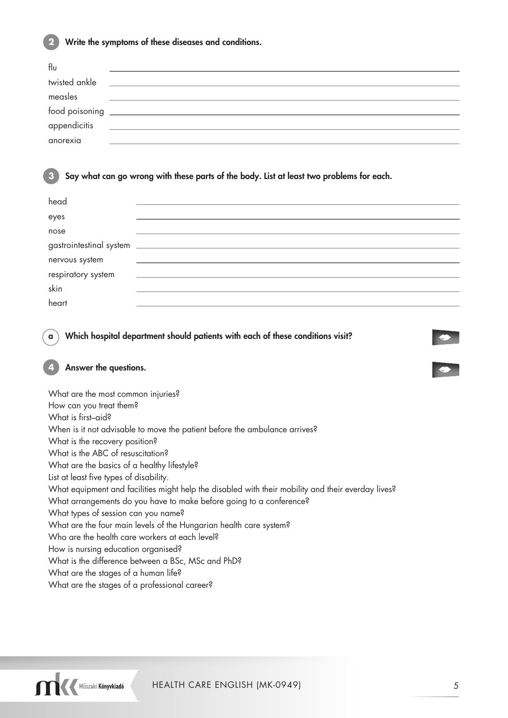

**2** Write the symptoms of these diseases and conditions.

| flυ            |  |
|----------------|--|
| twisted ankle  |  |
| measles        |  |
| food poisoning |  |
| appendicitis   |  |
|                |  |
| anorexia       |  |

#### **3** Say what can go wrong with these parts of the body. List at least two problems for each.

| head               |  |
|--------------------|--|
| eyes               |  |
| nose               |  |
|                    |  |
| nervous system     |  |
| respiratory system |  |
| skin               |  |
| heart              |  |

a ) Which hospital department should patients with each of these conditions visit?

#### **4** Answer the questions.

What are the most common injuries? How can you treat them? What is first–aid? When is it not advisable to move the patient before the ambulance arrives? What is the recovery position? What is the ABC of resuscitation? What are the basics of a healthy lifestyle? List at least five types of disability. What equipment and facilities might help the disabled with their mobility and their everday lives? What arrangements do you have to make before going to a conference? What types of session can you name? What are the four main levels of the Hungarian health care system? Who are the health care workers at each level? How is nursing education organised? What is the difference between a BSc, MSc and PhD? What are the stages of a human life? What are the stages of a professional career?



 $\bullet$ 

v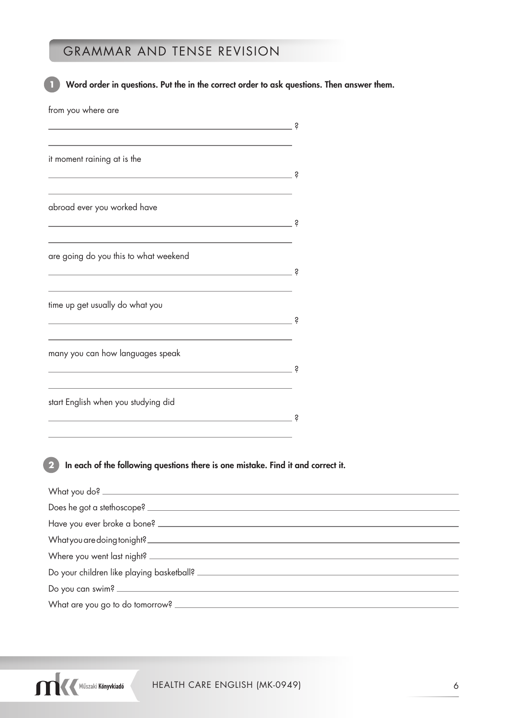## GRAMMAR AND TENSE REVISION

Word order in questions. Put the in the correct order to ask questions. Then answer them. from you where are ? it moment raining at is the ? abroad ever you worked have ? are going do you this to what weekend <u>2</u>. The contract of the contract of the contract of the contract of the contract of the contract of the contract of time up get usually do what you  $\overline{\mathbf{R}}$ many you can how languages speak  $\overline{\mathbf{R}}$ start English when you studying did  $\overline{\mathbf{e}}$ **2** In each of the following questions there is one mistake. Find it and correct it. What you do? \_\_ Does he got a stethoscope? Have you ever broke a bone? What you are doing tonight?

Where you went last night? \_\_ Do your children like playing basketball? Do you can swim? What are you go to do tomorrow?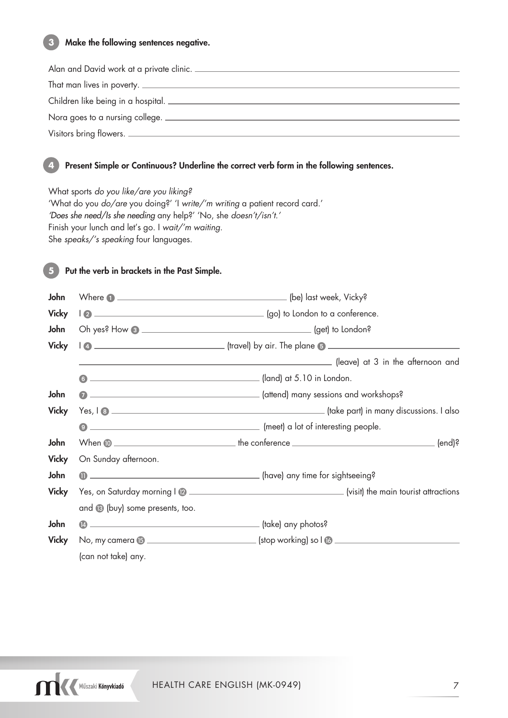#### **3** Make the following sentences negative.

| Alan and David work at a private clinic. |
|------------------------------------------|
|                                          |
| Children like being in a hospital.       |
| Nora goes to a nursing college.          |
| Visitors bring flowers.                  |

#### **4** Present Simple or Continuous? Underline the correct verb form in the following sentences.

What sports do you like/are you liking? 'What do you do/are you doing?' 'I write/'m writing a patient record card.' 'Does she need/Is she needing any help?' 'No, she doesn't/isn't.' Finish your lunch and let's go. I wait/'m waiting. She speaks/'s speaking four languages.

#### Put the verb in brackets in the Past Simple.

| John         |                                      |                                     |
|--------------|--------------------------------------|-------------------------------------|
| <b>Vicky</b> |                                      |                                     |
| John         |                                      |                                     |
| <b>Vicky</b> |                                      |                                     |
|              |                                      |                                     |
|              | $\bullet$                            |                                     |
| John         |                                      |                                     |
| <b>Vicky</b> |                                      |                                     |
|              |                                      | (meet) a lot of interesting people. |
| John         |                                      |                                     |
| <b>Vicky</b> | On Sunday afternoon.                 |                                     |
| John         |                                      | 1 (have) any time for sightseeing?  |
| <b>Vicky</b> |                                      |                                     |
|              | and (8 (buy) some presents, too.     |                                     |
| John         | - (take) any photos?<br>$\mathbf{A}$ |                                     |
| <b>Vicky</b> |                                      |                                     |
|              | (can not take) any.                  |                                     |

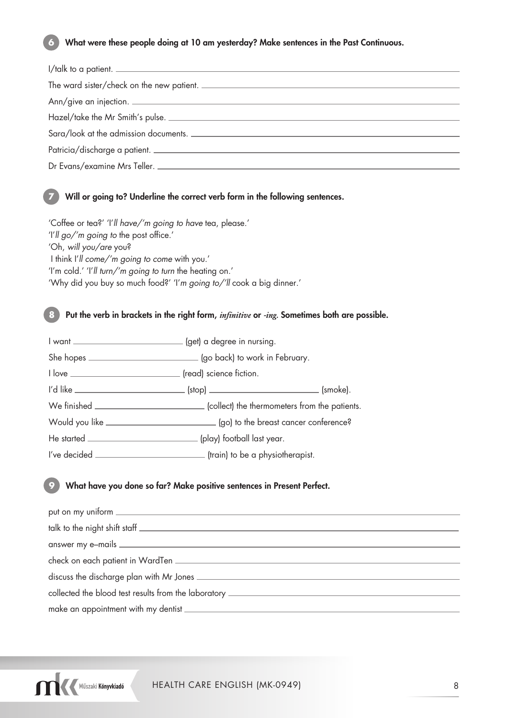#### What were these people doing at 10 am yesterday? Make sentences in the Past Continuous.

| $1$ /talk to a patient. $\frac{1}{2}$ |
|---------------------------------------|
|                                       |
|                                       |
|                                       |
| Sara/look at the admission documents. |
| Patricia/discharge a patient.         |
|                                       |
|                                       |

#### **7** Will or going to? Underline the correct verb form in the following sentences.

'Coffee or tea?' 'I'll have/'m going to have tea, please.' 'I'll go/'m going to the post office.' 'Oh, will you/are you? I think I'll come/'m going to come with you.' 'I'm cold.' 'I'll turn/'m going to turn the heating on.' 'Why did you buy so much food?' 'I'm going to/'ll cook a big dinner.'

**8** Put the verb in brackets in the right form, *infinitive* or *-ing.* Sometimes both are possible.

| I want ____________________________ (get) a degree in nursing.                             |  |
|--------------------------------------------------------------------------------------------|--|
|                                                                                            |  |
| I love __________________________________ (read) science fiction.                          |  |
|                                                                                            |  |
| We finished _________________________________(collect) the thermometers from the patients. |  |
|                                                                                            |  |
|                                                                                            |  |
|                                                                                            |  |

#### What have you done so far? Make positive sentences in Present Perfect.

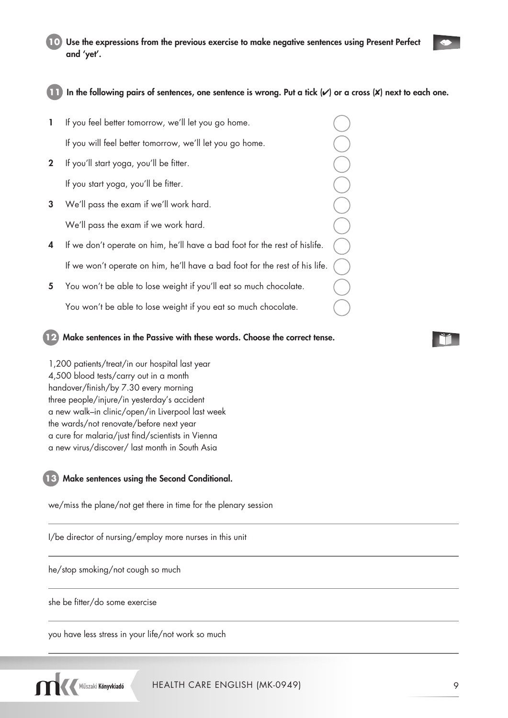

|              | If you feel better tomorrow, we'll let you go home.                         |  |
|--------------|-----------------------------------------------------------------------------|--|
|              | If you will feel better tomorrow, we'll let you go home.                    |  |
| $\mathbf{2}$ | If you'll start yoga, you'll be fitter.                                     |  |
|              | If you start yoga, you'll be fitter.                                        |  |
| 3            | We'll pass the exam if we'll work hard.                                     |  |
|              | We'll pass the exam if we work hard.                                        |  |
| 4            | If we don't operate on him, he'll have a bad foot for the rest of hislife.  |  |
|              | If we won't operate on him, he'll have a bad foot for the rest of his life. |  |
| 5            | You won't be able to lose weight if you'll eat so much chocolate.           |  |
|              |                                                                             |  |

You won't be able to lose weight if you eat so much chocolate.

**12** Make sentences in the Passive with these words. Choose the correct tense.

1,200 patients/treat/in our hospital last year 4,500 blood tests/carry out in a month handover/finish/by 7.30 every morning three people/injure/in yesterday's accident a new walk–in clinic/open/in Liverpool last week the wards/not renovate/before next year a cure for malaria/just find/scientists in Vienna a new virus/discover/ last month in South Asia

#### **13** Make sentences using the Second Conditional.

we/miss the plane/not get there in time for the plenary session

I/be director of nursing/employ more nurses in this unit

he/stop smoking/not cough so much

she be fitter/do some exercise

you have less stress in your life/not work so much



 $\bullet$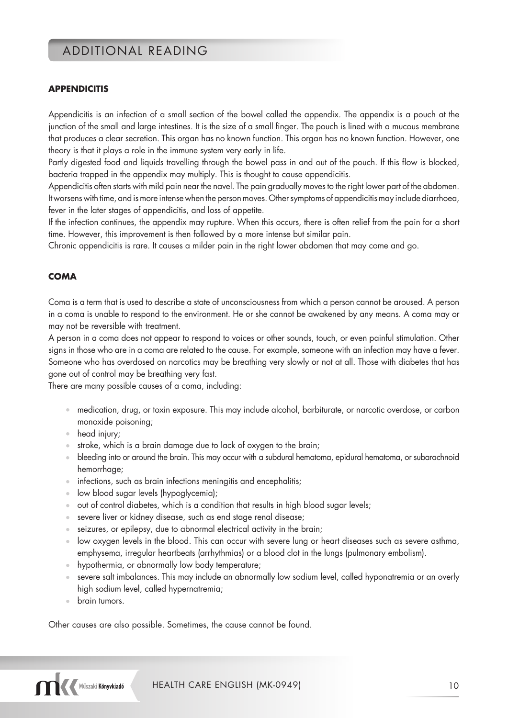## ADDITIONAL READING

#### **APPENDICITIS**

Appendicitis is an infection of a small section of the bowel called the appendix. The appendix is a pouch at the junction of the small and large intestines. It is the size of a small finger. The pouch is lined with a mucous membrane that produces a clear secretion. This organ has no known function. This organ has no known function. However, one theory is that it plays a role in the immune system very early in life.

Partly digested food and liquids travelling through the bowel pass in and out of the pouch. If this flow is blocked, bacteria trapped in the appendix may multiply. This is thought to cause appendicitis.

Appendicitis often starts with mild pain near the navel. The pain gradually moves to the right lower part of the abdomen. It worsens with time, and is more intense when the person moves. Other symptoms of appendicitis may include diarrhoea, fever in the later stages of appendicitis, and loss of appetite.

If the infection continues, the appendix may rupture. When this occurs, there is often relief from the pain for a short time. However, this improvement is then followed by a more intense but similar pain.

Chronic appendicitis is rare. It causes a milder pain in the right lower abdomen that may come and go.

#### **COMA**

Coma is a term that is used to describe a state of unconsciousness from which a person cannot be aroused. A person in a coma is unable to respond to the environment. He or she cannot be awakened by any means. A coma may or may not be reversible with treatment.

A person in a coma does not appear to respond to voices or other sounds, touch, or even painful stimulation. Other signs in those who are in a coma are related to the cause. For example, someone with an infection may have a fever. Someone who has overdosed on narcotics may be breathing very slowly or not at all. Those with diabetes that has gone out of control may be breathing very fast.

There are many possible causes of a coma, including:

- medication, drug, or toxin exposure. This may include alcohol, barbiturate, or narcotic overdose, or carbon monoxide poisoning;
- head injury;
- stroke, which is a brain damage due to lack of oxygen to the brain;
- bleeding into or around the brain. This may occur with a subdural hematoma, epidural hematoma, or subarachnoid hemorrhage;
- infections, such as brain infections meningitis and encephalitis;
- low blood sugar levels (hypoglycemia);
- out of control diabetes, which is a condition that results in high blood sugar levels;
- severe liver or kidney disease, such as end stage renal disease;
- seizures, or epilepsy, due to abnormal electrical activity in the brain;
- low oxygen levels in the blood. This can occur with severe lung or heart diseases such as severe asthma, emphysema, irregular heartbeats (arrhythmias) or a blood clot in the lungs (pulmonary embolism).
- hypothermia, or abnormally low body temperature;
- severe salt imbalances. This may include an abnormally low sodium level, called hyponatremia or an overly high sodium level, called hypernatremia;
- brain tumors.

Other causes are also possible. Sometimes, the cause cannot be found.

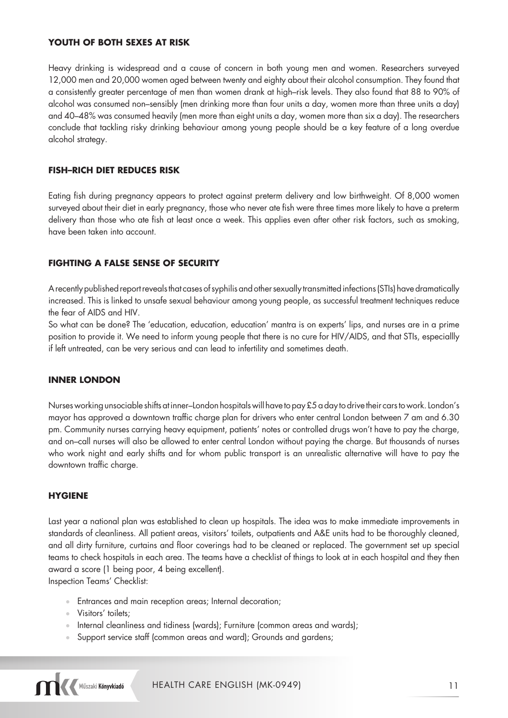#### **YOUTH OF BOTH SEXES AT RISK**

Heavy drinking is widespread and a cause of concern in both young men and women. Researchers surveyed 12,000 men and 20,000 women aged between twenty and eighty about their alcohol consumption. They found that a consistently greater percentage of men than women drank at high–risk levels. They also found that 88 to 90% of alcohol was consumed non–sensibly (men drinking more than four units a day, women more than three units a day) and 40–48% was consumed heavily (men more than eight units a day, women more than six a day). The researchers conclude that tackling risky drinking behaviour among young people should be a key feature of a long overdue alcohol strategy.

#### **FISH–RICH DIET REDUCES RISK**

Eating fish during pregnancy appears to protect against preterm delivery and low birthweight. Of 8,000 women surveyed about their diet in early pregnancy, those who never ate fish were three times more likely to have a preterm delivery than those who ate fish at least once a week. This applies even after other risk factors, such as smoking, have been taken into account.

#### **FIGHTING A FALSE SENSE OF SECURITY**

A recently published report reveals that cases of syphilis and other sexually transmitted infections (STIs) have dramatically increased. This is linked to unsafe sexual behaviour among young people, as successful treatment techniques reduce the fear of AIDS and HIV.

So what can be done? The 'education, education, education' mantra is on experts' lips, and nurses are in a prime position to provide it. We need to inform young people that there is no cure for HIV/AIDS, and that STIs, especiallly if left untreated, can be very serious and can lead to infertility and sometimes death.

#### **INNER LONDON**

Nurses working unsociable shifts at inner–London hospitals will have to pay £5 a day to drive their cars to work. London's mayor has approved a downtown traffic charge plan for drivers who enter central London between 7 am and 6.30 pm. Community nurses carrying heavy equipment, patients' notes or controlled drugs won't have to pay the charge, and on–call nurses will also be allowed to enter central London without paying the charge. But thousands of nurses who work night and early shifts and for whom public transport is an unrealistic alternative will have to pay the downtown traffic charge.

#### **HYGIENE**

Last year a national plan was established to clean up hospitals. The idea was to make immediate improvements in standards of cleanliness. All patient areas, visitors' toilets, outpatients and A&E units had to be thoroughly cleaned, and all dirty furniture, curtains and floor coverings had to be cleaned or replaced. The government set up special teams to check hospitals in each area. The teams have a checklist of things to look at in each hospital and they then award a score (1 being poor, 4 being excellent).

Inspection Teams' Checklist:

- Entrances and main reception areas; Internal decoration;
- Visitors' toilets;
- Internal cleanliness and tidiness (wards); Furniture (common areas and wards);
- Support service staff (common areas and ward); Grounds and gardens;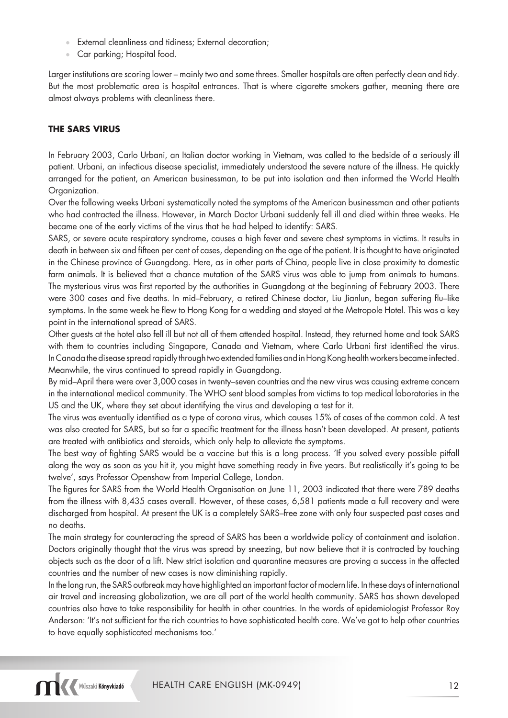- External cleanliness and tidiness; External decoration;
- Car parking; Hospital food.

Larger institutions are scoring lower – mainly two and some threes. Smaller hospitals are often perfectly clean and tidy. But the most problematic area is hospital entrances. That is where cigarette smokers gather, meaning there are almost always problems with cleanliness there.

#### **THE SARS VIRUS**

In February 2003, Carlo Urbani, an Italian doctor working in Vietnam, was called to the bedside of a seriously ill patient. Urbani, an infectious disease specialist, immediately understood the severe nature of the illness. He quickly arranged for the patient, an American businessman, to be put into isolation and then informed the World Health Organization.

Over the following weeks Urbani systematically noted the symptoms of the American businessman and other patients who had contracted the illness. However, in March Doctor Urbani suddenly fell ill and died within three weeks. He became one of the early victims of the virus that he had helped to identify: SARS.

SARS, or severe acute respiratory syndrome, causes a high fever and severe chest symptoms in victims. It results in death in between six and fifteen per cent of cases, depending on the age of the patient. It is thought to have originated in the Chinese province of Guangdong. Here, as in other parts of China, people live in close proximity to domestic farm animals. It is believed that a chance mutation of the SARS virus was able to jump from animals to humans. The mysterious virus was first reported by the authorities in Guangdong at the beginning of February 2003. There were 300 cases and five deaths. In mid–February, a retired Chinese doctor, Liu Jianlun, began suffering flu–like symptoms. In the same week he flew to Hong Kong for a wedding and stayed at the Metropole Hotel. This was a key point in the international spread of SARS.

Other guests at the hotel also fell ill but not all of them attended hospital. Instead, they returned home and took SARS with them to countries including Singapore, Canada and Vietnam, where Carlo Urbani first identified the virus. In Canada the disease spread rapidly through two extended families and in Hong Kong health workers became infected. Meanwhile, the virus continued to spread rapidly in Guangdong.

By mid–April there were over 3,000 cases in twenty–seven countries and the new virus was causing extreme concern in the international medical community. The WHO sent blood samples from victims to top medical laboratories in the US and the UK, where they set about identifying the virus and developing a test for it.

The virus was eventually identified as a type of corona virus, which causes 15% of cases of the common cold. A test was also created for SARS, but so far a specific treatment for the illness hasn't been developed. At present, patients are treated with antibiotics and steroids, which only help to alleviate the symptoms.

The best way of fighting SARS would be a vaccine but this is a long process. 'If you solved every possible pitfall along the way as soon as you hit it, you might have something ready in five years. But realistically it's going to be twelve', says Professor Openshaw from Imperial College, London.

The figures for SARS from the World Health Organisation on June 11, 2003 indicated that there were 789 deaths from the illness with 8,435 cases overall. However, of these cases, 6,581 patients made a full recovery and were discharged from hospital. At present the UK is a completely SARS–free zone with only four suspected past cases and no deaths.

The main strategy for counteracting the spread of SARS has been a worldwide policy of containment and isolation. Doctors originally thought that the virus was spread by sneezing, but now believe that it is contracted by touching objects such as the door of a lift. New strict isolation and quarantine measures are proving a success in the affected countries and the number of new cases is now diminishing rapidly.

In the long run, the SARS outbreak may have highlighted an important factor of modern life. In these days of international air travel and increasing globalization, we are all part of the world health community. SARS has shown developed countries also have to take responsibility for health in other countries. In the words of epidemiologist Professor Roy Anderson: 'It's not sufficient for the rich countries to have sophisticated health care. We've got to help other countries to have equally sophisticated mechanisms too.'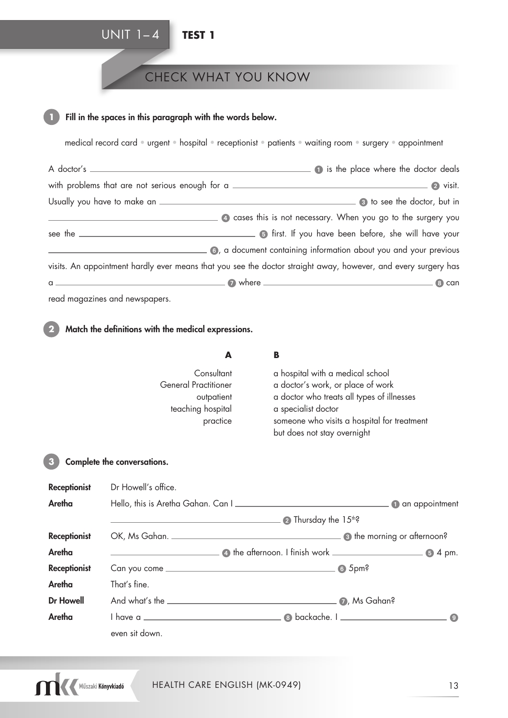## UNIT 1– 4 **TEST 1**

## CHECK WHAT YOU KNOW

#### Fill in the spaces in this paragraph with the words below.

medical record card • urgent • hospital • receptionist • patients • waiting room • surgery • appointment

|                                                                                                                | <b>1</b> is the place where the doctor deals                        |
|----------------------------------------------------------------------------------------------------------------|---------------------------------------------------------------------|
| with problems that are not serious enough for a                                                                |                                                                     |
|                                                                                                                |                                                                     |
|                                                                                                                | 4 cases this is not necessary. When you go to the surgery you       |
|                                                                                                                | <b>Example 1</b> first. If you have been before, she will have your |
|                                                                                                                | 6, a document containing information about you and your previous    |
| visits. An appointment hardly ever means that you see the doctor straight away, however, and every surgery has |                                                                     |
|                                                                                                                | 8 can                                                               |

read magazines and newspapers.

### **2** Match the definitions with the medical expressions.

|                     | A                                                                                        | B                                                                                                                                                                                                                        |                     |
|---------------------|------------------------------------------------------------------------------------------|--------------------------------------------------------------------------------------------------------------------------------------------------------------------------------------------------------------------------|---------------------|
|                     | Consultant<br><b>General Practitioner</b><br>outpatient<br>teaching hospital<br>practice | a hospital with a medical school<br>a doctor's work, or place of work<br>a doctor who treats all types of illnesses<br>a specialist doctor<br>someone who visits a hospital for treatment<br>but does not stay overnight |                     |
| 3                   | Complete the conversations.                                                              |                                                                                                                                                                                                                          |                     |
| <b>Receptionist</b> | Dr Howell's office.                                                                      |                                                                                                                                                                                                                          |                     |
| Aretha              | Hello, this is Aretha Gahan. Can I                                                       |                                                                                                                                                                                                                          | an appointment<br>0 |
|                     |                                                                                          | $\bullet$ Thursday the 15 <sup>th</sup> ?                                                                                                                                                                                |                     |
|                     |                                                                                          |                                                                                                                                                                                                                          |                     |

| <b>Receptionist</b> |                |                                                                                                                                                                                                                                                                                                                                                                                                  |  |
|---------------------|----------------|--------------------------------------------------------------------------------------------------------------------------------------------------------------------------------------------------------------------------------------------------------------------------------------------------------------------------------------------------------------------------------------------------|--|
| Aretha              |                | $\overline{\phantom{a}}$ and $\overline{\phantom{a}}$ the afternoon. I finish work $\overline{\phantom{a}}$ and $\overline{\phantom{a}}$ and $\overline{\phantom{a}}$ and $\overline{\phantom{a}}$ and $\overline{\phantom{a}}$ and $\overline{\phantom{a}}$ and $\overline{\phantom{a}}$ and $\overline{\phantom{a}}$ and $\overline{\phantom{a}}$ and $\overline{\phantom{a}}$ and $\overline$ |  |
| <b>Receptionist</b> |                | 6.5 <sub>pm</sub>                                                                                                                                                                                                                                                                                                                                                                                |  |
| Aretha              | That's fine.   |                                                                                                                                                                                                                                                                                                                                                                                                  |  |
| <b>Dr Howell</b>    |                |                                                                                                                                                                                                                                                                                                                                                                                                  |  |
| Aretha              |                |                                                                                                                                                                                                                                                                                                                                                                                                  |  |
|                     | even sit down. |                                                                                                                                                                                                                                                                                                                                                                                                  |  |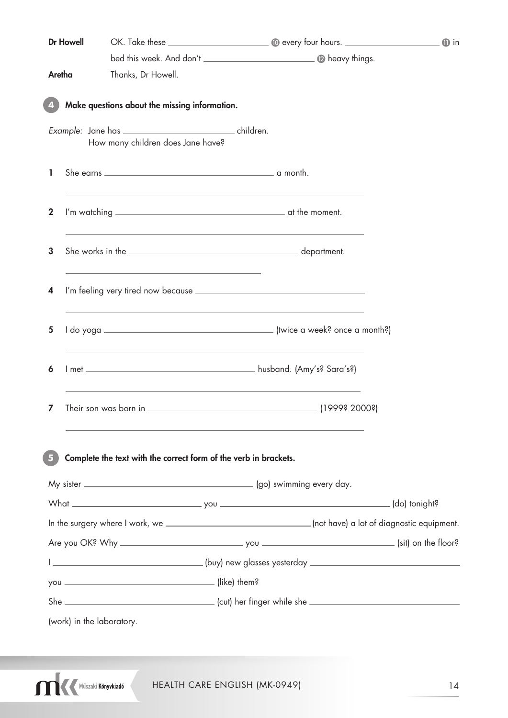|             | <b>Dr Howell</b> |                                                                                                                                                                                                                               |                                                                                                                      | $\mathbf 0$ in |
|-------------|------------------|-------------------------------------------------------------------------------------------------------------------------------------------------------------------------------------------------------------------------------|----------------------------------------------------------------------------------------------------------------------|----------------|
|             |                  |                                                                                                                                                                                                                               |                                                                                                                      |                |
| Aretha      |                  | Thanks, Dr Howell.                                                                                                                                                                                                            |                                                                                                                      |                |
|             |                  | Make questions about the missing information.                                                                                                                                                                                 |                                                                                                                      |                |
|             |                  |                                                                                                                                                                                                                               |                                                                                                                      |                |
|             |                  | How many children does Jane have?                                                                                                                                                                                             |                                                                                                                      |                |
| ı           |                  |                                                                                                                                                                                                                               |                                                                                                                      |                |
| $\mathbf 2$ |                  |                                                                                                                                                                                                                               |                                                                                                                      |                |
| 3           |                  |                                                                                                                                                                                                                               | <u> 1989 - Andrea Santa Andrea Andrea Andrea Andrea Andrea Andrea Andrea Andrea Andrea Andrea Andrea Andrea Andr</u> |                |
| 4           |                  | the control of the control of the control of the control of the control of the control of the control of the control of the control of the control of the control of the control of the control of the control of the control |                                                                                                                      |                |
| 5           |                  |                                                                                                                                                                                                                               | <u> 1989 - Johann Stoff, amerikansk politiker (* 1908)</u>                                                           |                |
| 6           |                  |                                                                                                                                                                                                                               |                                                                                                                      |                |
| 7           |                  |                                                                                                                                                                                                                               |                                                                                                                      |                |
|             |                  |                                                                                                                                                                                                                               |                                                                                                                      |                |
| 5           |                  |                                                                                                                                                                                                                               | Complete the text with the correct form of the verb in brackets.                                                     |                |
|             |                  |                                                                                                                                                                                                                               |                                                                                                                      |                |
|             |                  |                                                                                                                                                                                                                               |                                                                                                                      |                |
|             |                  |                                                                                                                                                                                                                               |                                                                                                                      |                |
|             |                  |                                                                                                                                                                                                                               |                                                                                                                      |                |
|             |                  |                                                                                                                                                                                                                               |                                                                                                                      |                |
|             |                  |                                                                                                                                                                                                                               |                                                                                                                      |                |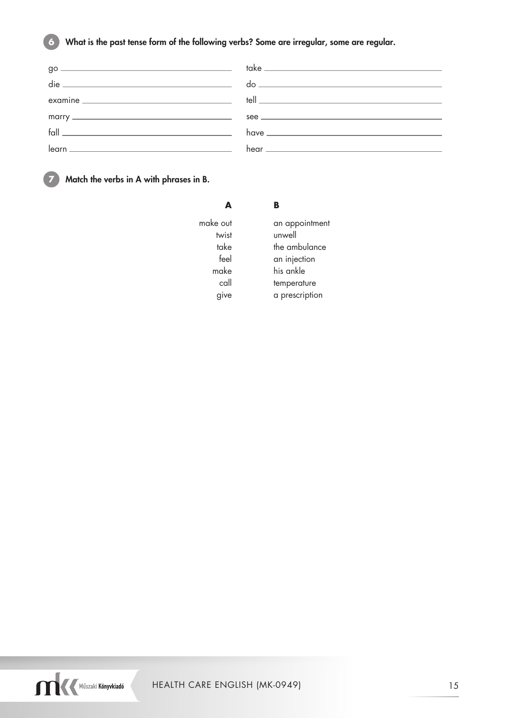### **6** What is the past tense form of the following verbs? Some are irregular, some are regular.

|                                                                                                                                                                                                                                                                                                                                                                                             | see |
|---------------------------------------------------------------------------------------------------------------------------------------------------------------------------------------------------------------------------------------------------------------------------------------------------------------------------------------------------------------------------------------------|-----|
| $\begin{picture}(20,10) \put(0,0){\dashbox{0.5}(5,0){ }} \put(15,0){\circle{10}} \put(25,0){\circle{10}} \put(25,0){\circle{10}} \put(25,0){\circle{10}} \put(25,0){\circle{10}} \put(25,0){\circle{10}} \put(25,0){\circle{10}} \put(25,0){\circle{10}} \put(25,0){\circle{10}} \put(25,0){\circle{10}} \put(25,0){\circle{10}} \put(25,0){\circle{10}} \put(25,0){\circle{10}} \put(25,0$ |     |
|                                                                                                                                                                                                                                                                                                                                                                                             |     |
|                                                                                                                                                                                                                                                                                                                                                                                             |     |

**7** Match the verbs in A with phrases in B.

|          | B              |
|----------|----------------|
| make out | an appointment |
| twist    | unwell         |
| take     | the ambulance  |
| feel     | an injection   |
| make     | his ankle      |
| call     | temperature    |
| give     | a prescription |

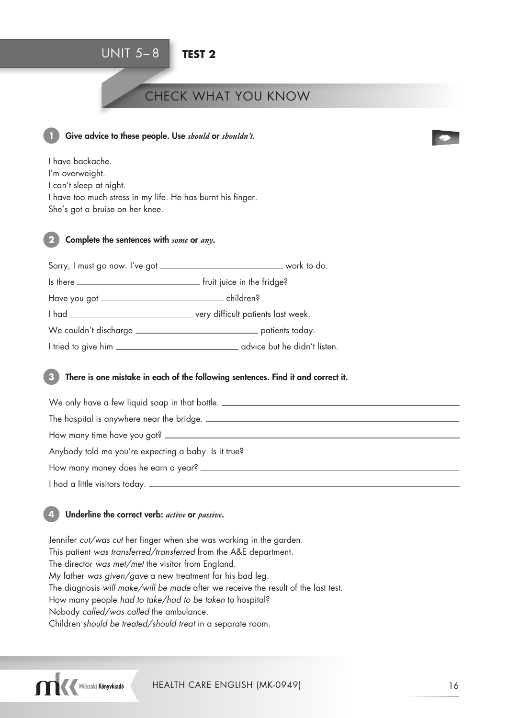## UNIT 5– 8 **TEST 2**

## CHECK WHAT YOU KNOW



#### Give advice to these people. Use *should* or *shouldn't*.

I have backache. I'm overweight. I can't sleep at night. I have too much stress in my life. He has burnt his finger. She's got a bruise on her knee.

#### **2** Complete the sentences with *some* or *any*.

| advice but he didn't listen. |
|------------------------------|
|                              |

#### **3** There is one mistake in each of the following sentences. Find it and correct it.

| We only have a few liquid soap in that bottle. _________________________________ |
|----------------------------------------------------------------------------------|
| The hospital is anywhere near the bridge.                                        |
| How many time have you got?                                                      |
| Anybody told me you're expecting a baby. Is it true?                             |
|                                                                                  |
|                                                                                  |

#### **4** Underline the correct verb: *active* or *passive*.

Jennifer cut/was cut her finger when she was working in the garden. This patient was transferred/transferred from the A&E department. The director was met/met the visitor from England. My father was given/gave a new treatment for his bad leg. The diagnosis will make/will be made after we receive the result of the last test. How many people had to take/had to be taken to hospital? Nobody called/was called the ambulance. Children should be treated/should treat in a separate room.



 $\bullet$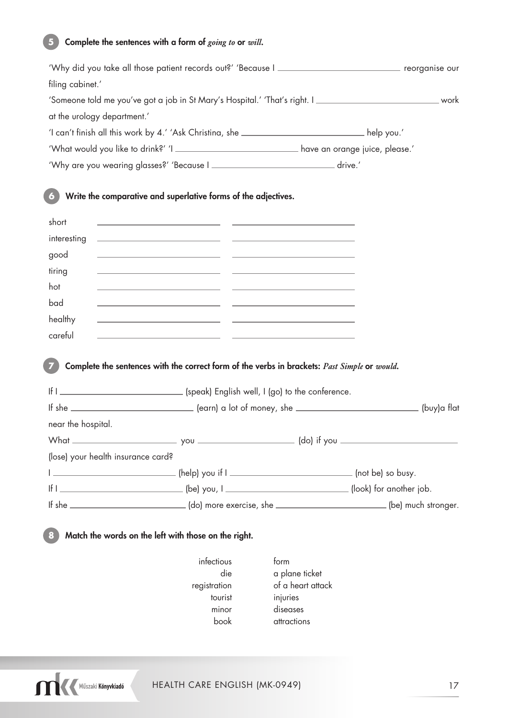### **5** Complete the sentences with a form of *going to* or *will*.

|                    | 'Why did you take all those patient records out?' 'Because I _____________________________ reorganise our              |  |
|--------------------|------------------------------------------------------------------------------------------------------------------------|--|
| filing cabinet.'   |                                                                                                                        |  |
|                    | 'Someone told me you've got a job in St Mary's Hospital.' 'That's right. I __________________________________work      |  |
|                    | at the urology department.'                                                                                            |  |
|                    |                                                                                                                        |  |
|                    | 'What would you like to drink?' 'I _______________________________have an orange juice, please.'                       |  |
|                    | 'Why are you wearing glasses?' 'Because I __________________________________drive.'                                    |  |
|                    | Write the comparative and superlative forms of the adjectives.                                                         |  |
| short              | <u> 1989 - Johann Barn, fransk politik (d. 1989)</u>                                                                   |  |
| interesting        | <u> 1990 - Jan Barbara (j. 1980)</u> - <u>Antonio Alemania, politikar (j. 1980)</u>                                    |  |
| good               | <u> 1989 - Andrea Stadt, fransk politik (* 1958)</u>                                                                   |  |
| tiring             | <u> 1990 - Jan Barbara (j. 1980)</u> en 1992 en 1992 en 1992 en 1992 en 1992 en 1992 en 1992 en 1992 en 1993 en 1994 e |  |
| hot                | <u> 1980 - Jan James James, politik eta politik eta politikaria (h. 1908).</u>                                         |  |
| bad                | <u> 1990 - Johann John Stone, mars et al. (</u> † 1920)                                                                |  |
| healthy            | <u> 1989 - Andrea Maria Alemania, poeta esperanto-político e a contrar establecer a contrar el contrar el contra</u>   |  |
| careful            | <u> 1989 - Andrea Andrew Maria (h. 1989).</u>                                                                          |  |
|                    |                                                                                                                        |  |
|                    | Complete the sentences with the correct form of the verbs in brackets: Past Simple or would.                           |  |
|                    |                                                                                                                        |  |
|                    |                                                                                                                        |  |
| near the hospital. |                                                                                                                        |  |
|                    |                                                                                                                        |  |
|                    | (lose) your health insurance card?                                                                                     |  |
|                    |                                                                                                                        |  |
|                    |                                                                                                                        |  |
|                    | If she _______________________________(do) more exercise, she _____________________________(be) much stronger.         |  |
|                    | Match the words on the left with those on the right.                                                                   |  |

- infectious form tourist injuries minor diseases book attractions
- die a plane ticket registration of a heart attack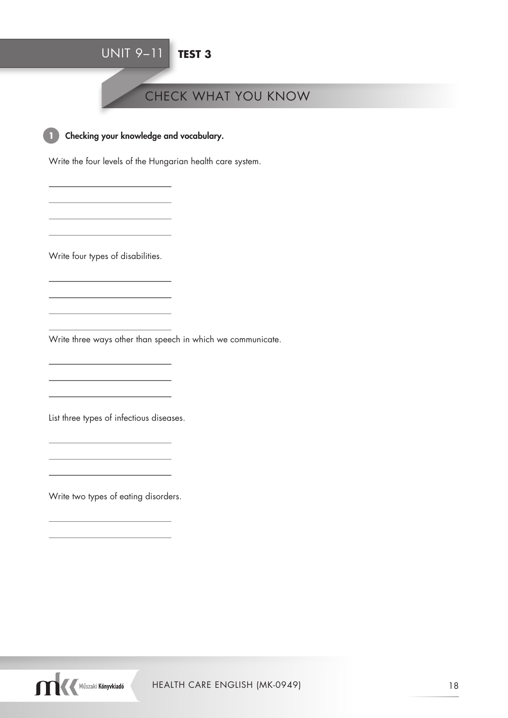## UNIT 9–11 **TEST 3**

## CHECK WHAT YOU KNOW



**1** Checking your knowledge and vocabulary.

Write the four levels of the Hungarian health care system.

Write four types of disabilities.

Write three ways other than speech in which we communicate.

List three types of infectious diseases.

Write two types of eating disorders.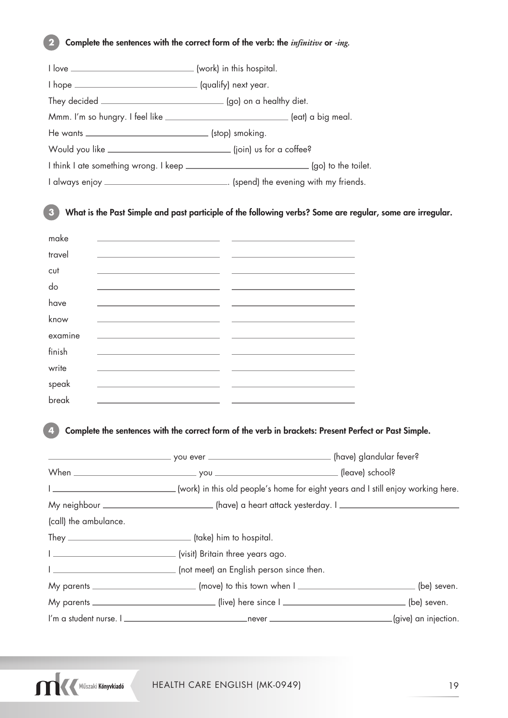### **2** Complete the sentences with the correct form of the verb: the *infinitive* or *-ing.*

|                                                                              | Mmm. I'm so hungry. I feel like ________________________________(eat) a big meal. |
|------------------------------------------------------------------------------|-----------------------------------------------------------------------------------|
|                                                                              |                                                                                   |
| Would you like <u>______________________________</u> (join) us for a coffee? |                                                                                   |
|                                                                              |                                                                                   |
|                                                                              |                                                                                   |

**3** What is the Past Simple and past participle of the following verbs? Some are regular, some are irregular.

| make           |                                                                                                                       |  |
|----------------|-----------------------------------------------------------------------------------------------------------------------|--|
| travel         |                                                                                                                       |  |
| cut            |                                                                                                                       |  |
| d <sub>o</sub> |                                                                                                                       |  |
| have           |                                                                                                                       |  |
| know           | <u> 1989 - Johann Harry Harry Harry Harry Harry Harry Harry Harry Harry Harry Harry Harry Harry Harry Harry Harry</u> |  |
| examine        | the contract of the contract of the contract of the contract of the contract of                                       |  |
| finish         |                                                                                                                       |  |
| write          |                                                                                                                       |  |
| speak          |                                                                                                                       |  |
| break          |                                                                                                                       |  |

### **4** Complete the sentences with the correct form of the verb in brackets: Present Perfect or Past Simple.

|                       | I _________________________________(work) in this old people's home for eight years and I still enjoy working here. |                       |
|-----------------------|---------------------------------------------------------------------------------------------------------------------|-----------------------|
|                       | My neighbour _________________________________(have) a heart attack yesterday. I _____________________________      |                       |
| (call) the ambulance. |                                                                                                                     |                       |
|                       |                                                                                                                     |                       |
|                       |                                                                                                                     |                       |
|                       |                                                                                                                     |                       |
|                       | My parents __________________________ (move) to this town when I _______________________________ (be) seven.        |                       |
|                       | My parents __________________________________(live) here since l __________________________________(be) seven.      |                       |
|                       |                                                                                                                     | .(give) an injection. |